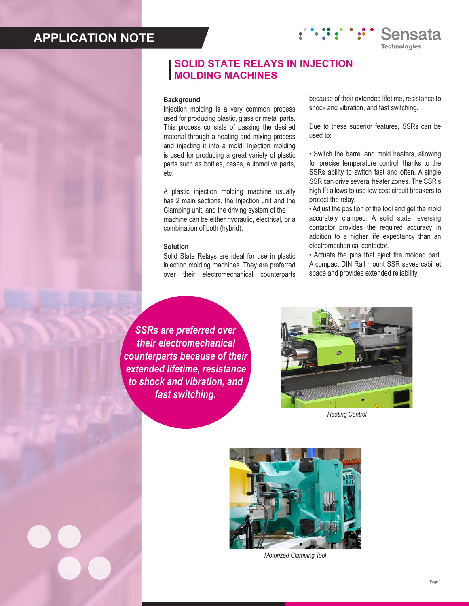# **APPLICATION NOTE**

## **SOLID STATE RELAYS IN INJECTION MOLDING MACHINES**

## **Background**

Injection molding is a very common process used for producing plastic, glass or metal parts. This process consists of passing the desired material through a heating and mixing process and injecting it into a mold. Injection molding is used for producing a great variety of plastic parts such as bottles, cases, automotive parts, etc.

A plastic injection molding machine usually has 2 main sections, the Injection unit and the Clamping unit, and the driving system of the machine can be either hydraulic, electrical, or a combination of both (hybrid).

### **Solution**

Solid State Relays are ideal for use in plastic injection molding machines. They are preferred over their electromechanical counterparts because of their extended lifetime, resistance to shock and vibration, and fast switching.

Sensata

**Technologies** 

Due to these superior features, SSRs can be used to:

• Switch the barrel and mold heaters, allowing for precise temperature control, thanks to the SSRs ability to switch fast and often. A single SSR can drive several heater zones. The SSR's high I²t allows to use low cost circuit breakers to protect the relay.

• Adjust the position of the tool and get the mold accurately clamped. A solid state reversing contactor provides the required accuracy in addition to a higher life expectancy than an electromechanical contactor.

• Actuate the pins that eject the molded part. A compact DIN Rail mount SSR saves cabinet space and provides extended reliability.

*SSRs are preferred over their electromechanical counterparts because of their extended lifetime, resistance to shock and vibration, and fast switching.*



*Heating Control*



*Motorized Clamping Tool*